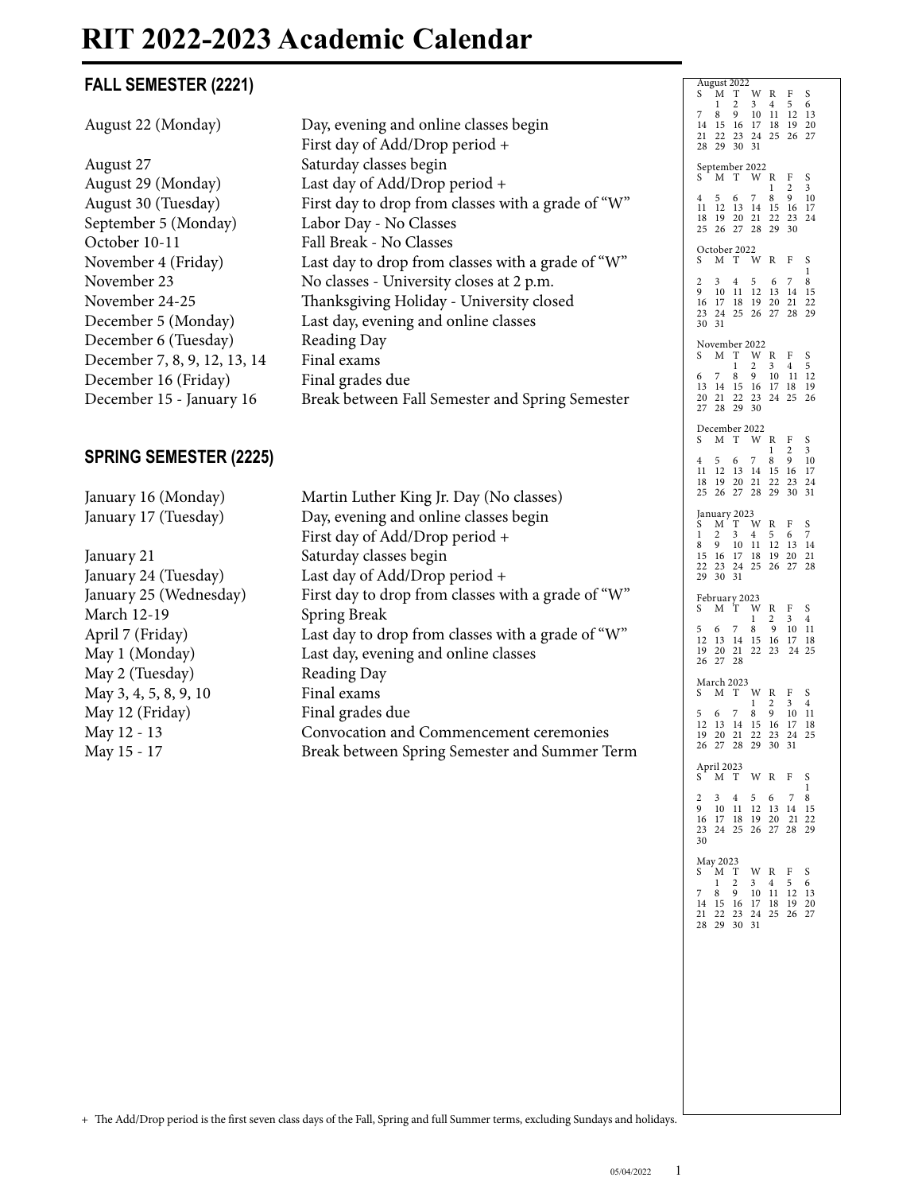# **RIT 2022-2023 Academic Calendar**

### **FALL SEMESTER (2221)**

| FALL SEMESTER (2221)                                                                                                                                                                                                                                                 |                                                                                                                                                                                                                                                                                                                                                                                                                                                                                                | August 2022<br>M T W R F S                                                                                                                                           |
|----------------------------------------------------------------------------------------------------------------------------------------------------------------------------------------------------------------------------------------------------------------------|------------------------------------------------------------------------------------------------------------------------------------------------------------------------------------------------------------------------------------------------------------------------------------------------------------------------------------------------------------------------------------------------------------------------------------------------------------------------------------------------|----------------------------------------------------------------------------------------------------------------------------------------------------------------------|
| August 22 (Monday)                                                                                                                                                                                                                                                   | Day, evening and online classes begin<br>First day of Add/Drop period +                                                                                                                                                                                                                                                                                                                                                                                                                        | 3 4<br>5<br>6<br>$\mathbf{1}$<br>2<br>8 9 10 11 12 13<br>14   15   16   17   18   19   20<br>21 22 23 24 25 26 27<br>28 29 30 31                                     |
| August 27<br>August 29 (Monday)<br>August 30 (Tuesday)<br>September 5 (Monday)                                                                                                                                                                                       | Saturday classes begin<br>Last day of Add/Drop period +<br>First day to drop from classes with a grade of "W"<br>Labor Day - No Classes                                                                                                                                                                                                                                                                                                                                                        | September 2022<br>S M T W R F S<br>$\overline{2}$<br>$\mathbf{1}$<br>3<br>5 6 7 8 9 10<br>11 12 13 14 15 16 17<br>18  19  20  21  22  23  24<br>25 26 27 28 29 30    |
| October 10-11<br>November 4 (Friday)<br>November 23<br>November 24-25<br>December 5 (Monday)                                                                                                                                                                         | Fall Break - No Classes<br>Last day to drop from classes with a grade of "W"<br>No classes - University closes at 2 p.m.<br>Thanksgiving Holiday - University closed<br>Last day, evening and online classes                                                                                                                                                                                                                                                                                   | October 2022<br>S M T W R F<br><sub>S</sub><br>$3 \quad 4 \quad 5$<br>6 7 8<br>2<br>9<br>10 11 12 13 14 15<br>16 17 18 19 20 21 22<br>23 24 25 26 27 28 29<br>30 31  |
| December 6 (Tuesday)<br>December 7, 8, 9, 12, 13, 14<br>December 16 (Friday)<br>December 15 - January 16                                                                                                                                                             | Reading Day<br>Final exams<br>Final grades due<br>Break between Fall Semester and Spring Semester                                                                                                                                                                                                                                                                                                                                                                                              | November 2022<br>M T W R F S<br>$2 \quad 3 \quad 4 \quad 5$<br>1<br>9 10 11 12<br>8<br>$\overline{7}$<br>13 14 15 16 17 18 19<br>20 21 22 23 24 25 26<br>27 28 29 30 |
| <b>SPRING SEMESTER (2225)</b>                                                                                                                                                                                                                                        |                                                                                                                                                                                                                                                                                                                                                                                                                                                                                                | December 2022<br>S M T W R F S<br>2<br>1<br>3<br>4 5 6 7 8 9 10<br>11 12 13 14 15 16 17<br>18  19  20  21  22  23  24<br>25 26 27 28 29 30 31                        |
| January 16 (Monday)<br>January 17 (Tuesday)<br>January 21<br>January 24 (Tuesday)<br>January 25 (Wednesday)<br><b>March 12-19</b><br>April 7 (Friday)<br>May 1 (Monday)<br>May 2 (Tuesday)<br>May 3, 4, 5, 8, 9, 10<br>May 12 (Friday)<br>May 12 - 13<br>May 15 - 17 | Martin Luther King Jr. Day (No classes)<br>Day, evening and online classes begin<br>First day of Add/Drop period +<br>Saturday classes begin<br>Last day of Add/Drop period +<br>First day to drop from classes with a grade of "W"<br>Spring Break<br>Last day to drop from classes with a grade of "W"<br>Last day, evening and online classes<br>Reading Day<br>Final exams<br>Final grades due<br>Convocation and Commencement ceremonies<br>Break between Spring Semester and Summer Term | January 2023<br>M T W R<br>S<br>F S<br>2<br>3<br>4<br>5<br>6 7<br>1<br>9 10 11 12 13 14<br>8<br>15 16 17 18 19 20 21<br>22 23 24 25 26 27 28<br>29 30 31             |
|                                                                                                                                                                                                                                                                      |                                                                                                                                                                                                                                                                                                                                                                                                                                                                                                | February 2023<br>S M T W R F S<br>$2 \quad 3 \quad 4$<br>1<br>7<br>8 9 10 11<br>5 6<br>12  13  14  15  16  17  18<br>19 20 21 22 23 24 25<br>26 27 28                |
|                                                                                                                                                                                                                                                                      |                                                                                                                                                                                                                                                                                                                                                                                                                                                                                                | March 2023<br>S M T W R F S<br>$3\quad 4$<br>1<br>2<br>5 6 7<br>8 9 10 11<br>12  13  14  15  16  17  18<br>19 20 21 22 23 24 25<br>26 27 28 29 30 31                 |
|                                                                                                                                                                                                                                                                      |                                                                                                                                                                                                                                                                                                                                                                                                                                                                                                | April 2023<br>S M T W R F<br>- S<br>1.<br>2 3 4 5 6 7 8<br>9 10 11 12 13 14 15<br>16 17 18 19 20 21 22<br>23 24 25 26 27 28 29<br>30                                 |
|                                                                                                                                                                                                                                                                      |                                                                                                                                                                                                                                                                                                                                                                                                                                                                                                | May 2023<br>S M T W R F S<br>$1 \t2 \t3 \t4 \t5 \t6$<br>7 8 9 10 11 12 13<br>14   15   16   17   18   19   20<br>21 22 23 24 25 26 27<br>28 29 30 31                 |
|                                                                                                                                                                                                                                                                      |                                                                                                                                                                                                                                                                                                                                                                                                                                                                                                |                                                                                                                                                                      |
|                                                                                                                                                                                                                                                                      |                                                                                                                                                                                                                                                                                                                                                                                                                                                                                                |                                                                                                                                                                      |

+ The Add/Drop period is the first seven class days of the Fall, Spring and full Summer terms, excluding Sundays and holidays.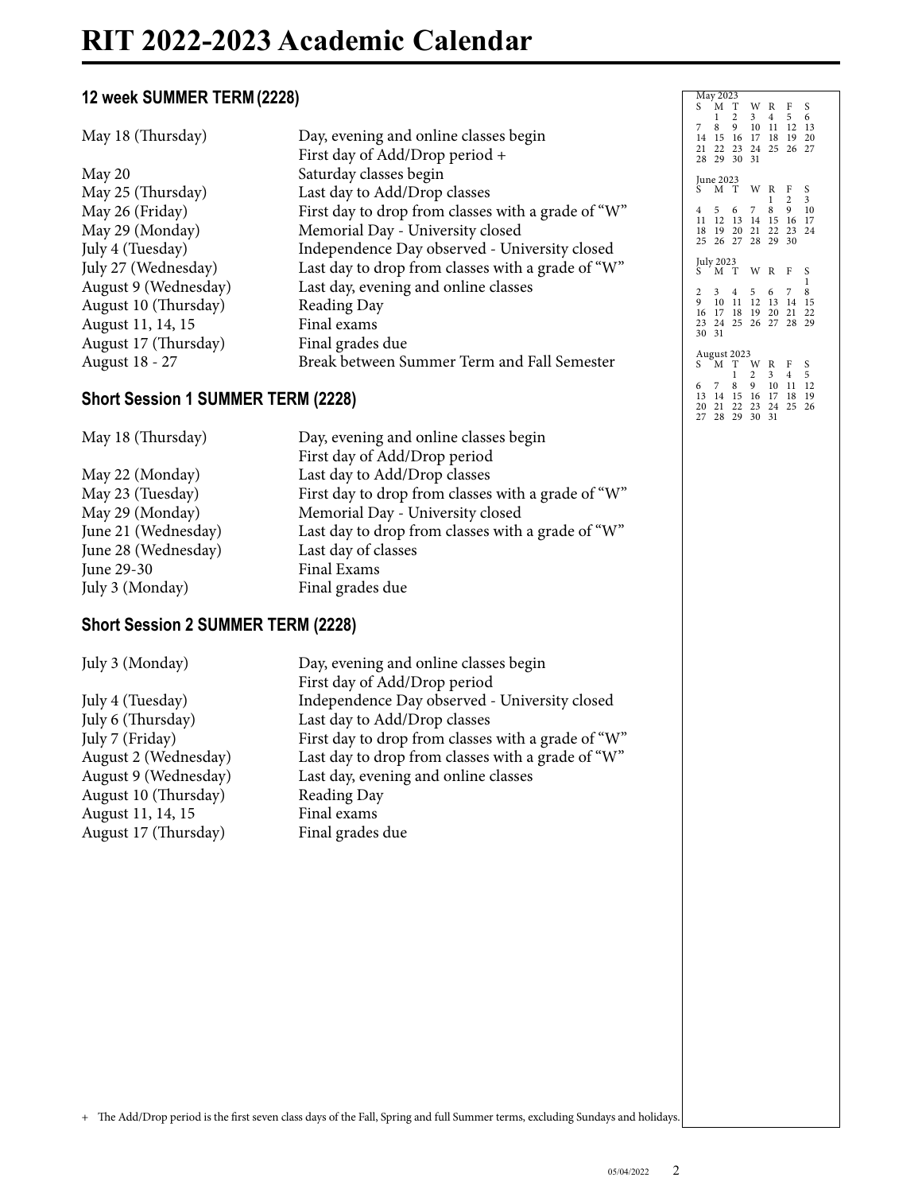#### **12 week SUMMER TERM(2228)**

| 12 week SUMMER TERM (2228)                |                                                                         | May 2023<br>S M T W R F S                                                                                                              |
|-------------------------------------------|-------------------------------------------------------------------------|----------------------------------------------------------------------------------------------------------------------------------------|
| May 18 (Thursday)                         | Day, evening and online classes begin<br>First day of Add/Drop period + | $3 \t 4 \t 5 \t 6$<br>$1\quad 2$<br>7 8 9 10 11 12 13<br>14    15    16    17    18    19    20<br>21 22 23 24 25 26 27<br>28 29 30 31 |
| May 20                                    | Saturday classes begin                                                  |                                                                                                                                        |
| May 25 (Thursday)                         | Last day to Add/Drop classes                                            | June 2023<br>S M T W R F S<br>1 2 3                                                                                                    |
| May 26 (Friday)                           | First day to drop from classes with a grade of "W"                      | 4 5 6 7 8 9 10                                                                                                                         |
| May 29 (Monday)                           | Memorial Day - University closed                                        | 11 12 13 14 15 16 17<br>18  19  20  21  22  23  24                                                                                     |
| July 4 (Tuesday)                          | Independence Day observed - University closed                           | 25 26 27 28 29 30                                                                                                                      |
| July 27 (Wednesday)                       | Last day to drop from classes with a grade of "W"                       | July 2023<br>$S$ $M$ $T$ $W$ $R$ $F$ $S$                                                                                               |
| August 9 (Wednesday)                      | Last day, evening and online classes                                    | $\mathbf{1}$                                                                                                                           |
| August 10 (Thursday)                      | Reading Day                                                             | 3 4 5 6 7 8<br>2<br>9 10 11 12 13 14 15                                                                                                |
| August 11, 14, 15                         | Final exams                                                             | 16 17 18 19 20 21 22<br>23 24 25 26 27 28 29                                                                                           |
| August 17 (Thursday)                      | Final grades due                                                        | 30 31                                                                                                                                  |
| August 18 - 27                            | Break between Summer Term and Fall Semester                             | August 2023<br>S M T W R F S                                                                                                           |
|                                           |                                                                         | $2 \t3 \t4 \t5$<br>$\mathbf{1}$<br>6 7 8 9 10 11 12                                                                                    |
| <b>Short Session 1 SUMMER TERM (2228)</b> |                                                                         | 13 14 15 16 17 18 19                                                                                                                   |
|                                           |                                                                         | 20 21 22 23 24 25 26<br>27 28 29 30 31                                                                                                 |
| May 18 (Thursday)                         | Day, evening and online classes begin                                   |                                                                                                                                        |
|                                           | First day of Add/Drop period                                            |                                                                                                                                        |
| May 22 (Monday)                           | Last day to Add/Drop classes                                            |                                                                                                                                        |
| May 23 (Tuesday)                          | First day to drop from classes with a grade of "W"                      |                                                                                                                                        |
| May 29 (Monday)                           | Memorial Day - University closed                                        |                                                                                                                                        |
| June 21 (Wednesday)                       | Last day to drop from classes with a grade of "W"                       |                                                                                                                                        |
| June 28 (Wednesday)                       | Last day of classes                                                     |                                                                                                                                        |
| June 29-30                                | Final Exams                                                             |                                                                                                                                        |
|                                           |                                                                         |                                                                                                                                        |
|                                           |                                                                         |                                                                                                                                        |
| July 3 (Monday)                           | Final grades due                                                        |                                                                                                                                        |
| <b>Short Session 2 SUMMER TERM (2228)</b> |                                                                         |                                                                                                                                        |
| July 3 (Monday)                           | Day, evening and online classes begin                                   |                                                                                                                                        |
|                                           | First day of Add/Drop period                                            |                                                                                                                                        |
| July 4 (Tuesday)                          | Independence Day observed - University closed                           |                                                                                                                                        |
| July 6 (Thursday)                         | Last day to Add/Drop classes                                            |                                                                                                                                        |
| July 7 (Friday)                           | First day to drop from classes with a grade of "W"                      |                                                                                                                                        |
| August 2 (Wednesday)                      | Last day to drop from classes with a grade of "W"                       |                                                                                                                                        |
| August 9 (Wednesday)                      | Last day, evening and online classes                                    |                                                                                                                                        |
| August 10 (Thursday)                      | Reading Day                                                             |                                                                                                                                        |
| August 11, 14, 15                         | Final exams                                                             |                                                                                                                                        |
| August 17 (Thursday)                      | Final grades due                                                        |                                                                                                                                        |
|                                           |                                                                         |                                                                                                                                        |
|                                           |                                                                         |                                                                                                                                        |
|                                           |                                                                         |                                                                                                                                        |
|                                           |                                                                         |                                                                                                                                        |
|                                           |                                                                         |                                                                                                                                        |
|                                           |                                                                         |                                                                                                                                        |
|                                           |                                                                         |                                                                                                                                        |
|                                           |                                                                         |                                                                                                                                        |
|                                           |                                                                         |                                                                                                                                        |

+ The Add/Drop period is the first seven class days of the Fall, Spring and full Summer terms, excluding Sundays and holidays.

 $\begin{array}{c} {\rm S} \\ {\rm 3} \\ {\rm 10} \\ {\rm 17} \\ {\rm 24} \end{array}$